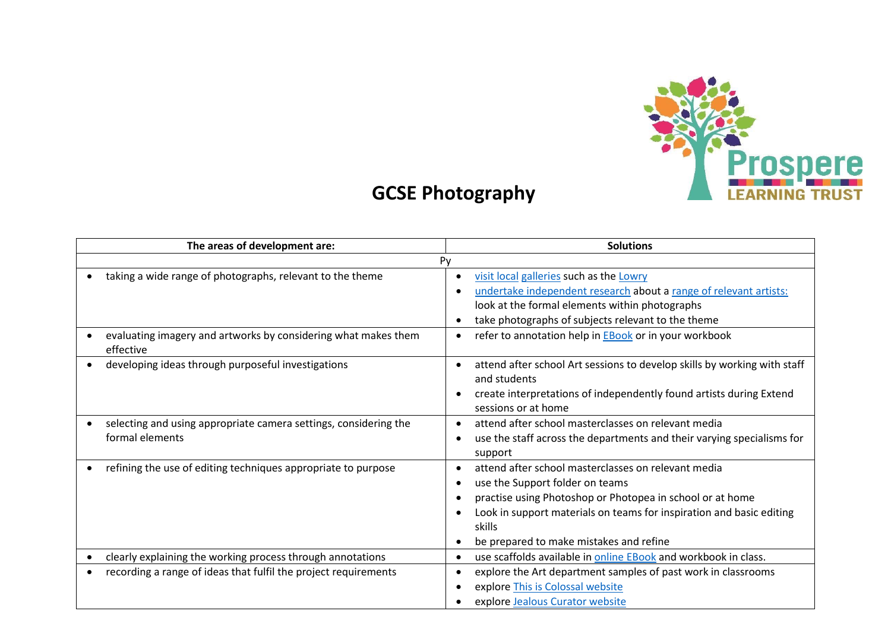

## **GCSE Photography**

| The areas of development are:                                                       | <b>Solutions</b>                                                                                                                                                                                                                                                                 |
|-------------------------------------------------------------------------------------|----------------------------------------------------------------------------------------------------------------------------------------------------------------------------------------------------------------------------------------------------------------------------------|
| Py                                                                                  |                                                                                                                                                                                                                                                                                  |
| taking a wide range of photographs, relevant to the theme                           | visit local galleries such as the Lowry<br>undertake independent research about a range of relevant artists:<br>look at the formal elements within photographs<br>take photographs of subjects relevant to the theme                                                             |
| evaluating imagery and artworks by considering what makes them<br>effective         | refer to annotation help in <b>EBook</b> or in your workbook                                                                                                                                                                                                                     |
| developing ideas through purposeful investigations                                  | attend after school Art sessions to develop skills by working with staff<br>and students<br>create interpretations of independently found artists during Extend<br>sessions or at home                                                                                           |
| selecting and using appropriate camera settings, considering the<br>formal elements | attend after school masterclasses on relevant media<br>use the staff across the departments and their varying specialisms for<br>support                                                                                                                                         |
| refining the use of editing techniques appropriate to purpose                       | attend after school masterclasses on relevant media<br>use the Support folder on teams<br>practise using Photoshop or Photopea in school or at home<br>Look in support materials on teams for inspiration and basic editing<br>skills<br>be prepared to make mistakes and refine |
| clearly explaining the working process through annotations<br>$\bullet$             | use scaffolds available in online EBook and workbook in class.                                                                                                                                                                                                                   |
| recording a range of ideas that fulfil the project requirements                     | explore the Art department samples of past work in classrooms<br>explore This is Colossal website<br>explore Jealous Curator website                                                                                                                                             |